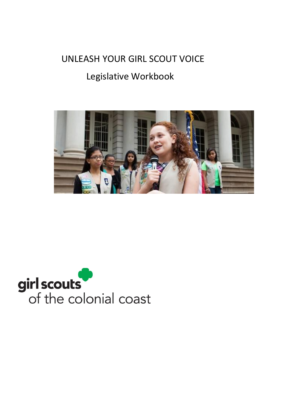# UNLEASH YOUR GIRL SCOUT VOICE

# Legislative Workbook



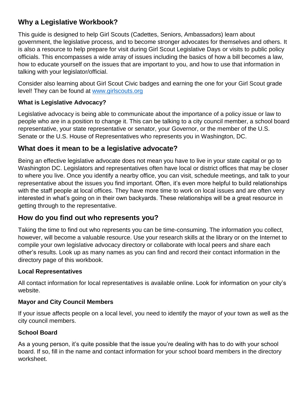# **Why a Legislative Workbook?**

This guide is designed to help Girl Scouts (Cadettes, Seniors, Ambassadors) learn about government, the legislative process, and to become stronger advocates for themselves and others. It is also a resource to help prepare for visit during Girl Scout Legislative Days or visits to public policy officials. This encompasses a wide array of issues including the basics of how a bill becomes a law, how to educate yourself on the issues that are important to you, and how to use that information in talking with your legislator/official.

Consider also learning about Girl Scout Civic badges and earning the one for your Girl Scout grade level! They can be found at [www.girlscouts.org](http://www.girlscouts.org/)

## **What is Legislative Advocacy?**

Legislative advocacy is being able to communicate about the importance of a policy issue or law to people who are in a position to change it. This can be talking to a city council member, a school board representative, your state representative or senator, your Governor, or the member of the U.S. Senate or the U.S. House of Representatives who represents you in Washington, DC.

# **What does it mean to be a legislative advocate?**

Being an effective legislative advocate does not mean you have to live in your state capital or go to Washington DC. Legislators and representatives often have local or district offices that may be closer to where you live. Once you identify a nearby office, you can visit, schedule meetings, and talk to your representative about the issues you find important. Often, it's even more helpful to build relationships with the staff people at local offices. They have more time to work on local issues and are often very interested in what's going on in their own backyards. These relationships will be a great resource in getting through to the representative.

# **How do you find out who represents you?**

Taking the time to find out who represents you can be time-consuming. The information you collect, however, will become a valuable resource. Use your research skills at the library or on the Internet to compile your own legislative advocacy directory or collaborate with local peers and share each other's results. Look up as many names as you can find and record their contact information in the directory page of this workbook.

## **Local Representatives**

All contact information for local representatives is available online. Look for information on your city's website.

## **Mayor and City Council Members**

If your issue affects people on a local level, you need to identify the mayor of your town as well as the city council members.

## **School Board**

As a young person, it's quite possible that the issue you're dealing with has to do with your school board. If so, fill in the name and contact information for your school board members in the directory worksheet.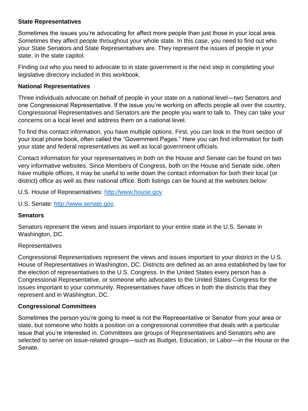#### **State Representatives**

Sometimes the issues you're advocating for affect more people than just those in your local area. Sometimes they affect people throughout your whole state. In this case, you need to find out who your State Senators and State Representatives are. They represent the issues of people in your state, in the state capitol.

Finding out who you need to advocate to in state government is the next step in completing your legislative directory included in this workbook.

### **National Representatives**

Three individuals advocate on behalf of people in your state on a national level—two Senators and one Congressional Representative. If the issue you're working on affects people all over the country, Congressional Representatives and Senators are the people you want to talk to. They can take your concerns on a local level and address them on a national level.

To find this contact information, you have multiple options. First, you can look in the front section of your local phone book, often called the "Government Pages." Here you can find information for both your state and federal representatives as well as local government officials.

Contact information for your representatives in both on the House and Senate can be found on two very informative websites. Since Members of Congress, both on the House and Senate side, often have multiple offices, it may be useful to write down the contact information for both their local (or district) office as well as their national office. Both listings can be found at the websites below:

U.S. House of Representatives: [http://www.house.gov](http://www.house.gov/)

U.S. Senate: [http://www.senate.gov.](http://www.senate.gov/)

## **Senators**

Senators represent the views and issues important to your entire state in the U.S. Senate in Washington, DC.

#### Representatives

Congressional Representatives represent the views and issues important to your district in the U.S. House of Representatives in Washington, DC. Districts are defined as an area established by law for the election of representatives to the U.S. Congress. In the United States every person has a Congressional Representative, or someone who advocates to the United States Congress for the issues important to your community. Representatives have offices in both the districts that they represent and in Washington, DC.

## **Congressional Committees**

Sometimes the person you're going to meet is not the Representative or Senator from your area or state, but someone who holds a position on a congressional committee that deals with a particular issue that you're interested in. Committees are groups of Representatives and Senators who are selected to serve on issue-related groups—such as Budget, Education, or Labor—in the House or the Senate.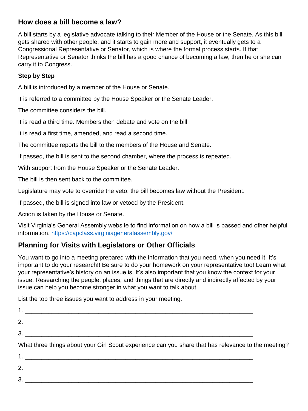# **How does a bill become a law?**

A bill starts by a legislative advocate talking to their Member of the House or the Senate. As this bill gets shared with other people, and it starts to gain more and support, it eventually gets to a Congressional Representative or Senator, which is where the formal process starts. If that Representative or Senator thinks the bill has a good chance of becoming a law, then he or she can carry it to Congress.

## **Step by Step**

A bill is introduced by a member of the House or Senate.

It is referred to a committee by the House Speaker or the Senate Leader.

The committee considers the bill.

It is read a third time. Members then debate and vote on the bill.

It is read a first time, amended, and read a second time.

The committee reports the bill to the members of the House and Senate.

If passed, the bill is sent to the second chamber, where the process is repeated.

With support from the House Speaker or the Senate Leader.

The bill is then sent back to the committee.

Legislature may vote to override the veto; the bill becomes law without the President.

If passed, the bill is signed into law or vetoed by the President.

Action is taken by the House or Senate.

Visit Virginia's General Assembly website to find information on how a bill is passed and other helpful information. <https://capclass.virginiageneralassembly.gov/>

# **Planning for Visits with Legislators or Other Officials**

You want to go into a meeting prepared with the information that you need, when you need it. It's important to do your research!! Be sure to do your homework on your representative too! Learn what your representative's history on an issue is. It's also important that you know the context for your issue. Researching the people, places, and things that are directly and indirectly affected by your issue can help you become stronger in what you want to talk about.

List the top three issues you want to address in your meeting.

| What three things about your Girl Scout experience can you share that has relevance to the meeting? |  |
|-----------------------------------------------------------------------------------------------------|--|
|                                                                                                     |  |
| $2.$ $\overline{\phantom{a}}$                                                                       |  |
|                                                                                                     |  |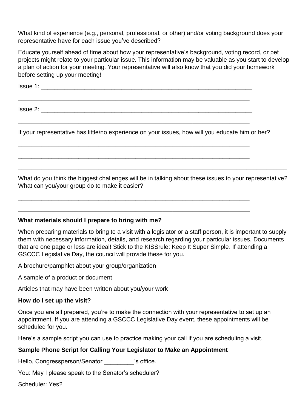What kind of experience (e.g., personal, professional, or other) and/or voting background does your representative have for each issue you've described?

Educate yourself ahead of time about how your representative's background, voting record, or pet projects might relate to your particular issue. This information may be valuable as you start to develop a plan of action for your meeting. Your representative will also know that you did your homework before setting up your meeting!

 $Issue 1:$ 

\_\_\_\_\_\_\_\_\_\_\_\_\_\_\_\_\_\_\_\_\_\_\_\_\_\_\_\_\_\_\_\_\_\_\_\_\_\_\_\_\_\_\_\_\_\_\_\_\_\_\_\_\_\_\_\_\_\_\_\_\_\_\_\_\_\_\_\_\_

\_\_\_\_\_\_\_\_\_\_\_\_\_\_\_\_\_\_\_\_\_\_\_\_\_\_\_\_\_\_\_\_\_\_\_\_\_\_\_\_\_\_\_\_\_\_\_\_\_\_\_\_\_\_\_\_\_\_\_\_\_\_\_\_\_\_\_\_\_

\_\_\_\_\_\_\_\_\_\_\_\_\_\_\_\_\_\_\_\_\_\_\_\_\_\_\_\_\_\_\_\_\_\_\_\_\_\_\_\_\_\_\_\_\_\_\_\_\_\_\_\_\_\_\_\_\_\_\_\_\_\_\_\_\_\_\_\_\_

\_\_\_\_\_\_\_\_\_\_\_\_\_\_\_\_\_\_\_\_\_\_\_\_\_\_\_\_\_\_\_\_\_\_\_\_\_\_\_\_\_\_\_\_\_\_\_\_\_\_\_\_\_\_\_\_\_\_\_\_\_\_\_\_\_\_\_\_\_

\_\_\_\_\_\_\_\_\_\_\_\_\_\_\_\_\_\_\_\_\_\_\_\_\_\_\_\_\_\_\_\_\_\_\_\_\_\_\_\_\_\_\_\_\_\_\_\_\_\_\_\_\_\_\_\_\_\_\_\_\_\_\_\_\_\_\_\_\_

\_\_\_\_\_\_\_\_\_\_\_\_\_\_\_\_\_\_\_\_\_\_\_\_\_\_\_\_\_\_\_\_\_\_\_\_\_\_\_\_\_\_\_\_\_\_\_\_\_\_\_\_\_\_\_\_\_\_\_\_\_\_\_\_\_\_\_\_\_

 $\blacksquare$  Issue 2:

If your representative has little/no experience on your issues, how will you educate him or her?

What do you think the biggest challenges will be in talking about these issues to your representative? What can you/your group do to make it easier?

\_\_\_\_\_\_\_\_\_\_\_\_\_\_\_\_\_\_\_\_\_\_\_\_\_\_\_\_\_\_\_\_\_\_\_\_\_\_\_\_\_\_\_\_\_\_\_\_\_\_\_\_\_\_\_\_\_\_\_\_\_\_\_\_\_\_\_\_\_\_\_\_\_\_\_\_\_\_\_\_

#### **What materials should I prepare to bring with me?**

When preparing materials to bring to a visit with a legislator or a staff person, it is important to supply them with necessary information, details, and research regarding your particular issues. Documents that are one page or less are ideal! Stick to the KISSrule: Keep It Super Simple. If attending a GSCCC Legislative Day, the council will provide these for you.

A brochure/pamphlet about your group/organization

A sample of a product or document

Articles that may have been written about you/your work

#### **How do I set up the visit?**

Once you are all prepared, you're to make the connection with your representative to set up an appointment. If you are attending a GSCCC Legislative Day event, these appointments will be scheduled for you.

Here's a sample script you can use to practice making your call if you are scheduling a visit.

#### **Sample Phone Script for Calling Your Legislator to Make an Appointment**

Hello, Congressperson/Senator **belogies** 's office.

You: May I please speak to the Senator's scheduler?

Scheduler: Yes?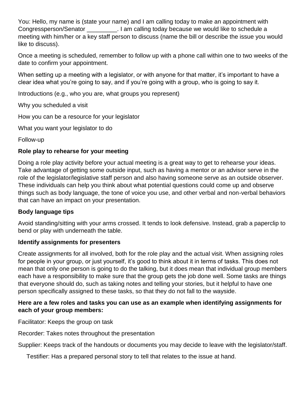You: Hello, my name is (state your name) and I am calling today to make an appointment with Congressperson/Senator \_\_\_\_\_\_\_\_\_. I am calling today because we would like to schedule a meeting with him/her or a key staff person to discuss (name the bill or describe the issue you would like to discuss).

Once a meeting is scheduled, remember to follow up with a phone call within one to two weeks of the date to confirm your appointment.

When setting up a meeting with a legislator, or with anyone for that matter, it's important to have a clear idea what you're going to say, and if you're going with a group, who is going to say it.

Introductions (e.g., who you are, what groups you represent)

Why you scheduled a visit

How you can be a resource for your legislator

What you want your legislator to do

Follow-up

### **Role play to rehearse for your meeting**

Doing a role play activity before your actual meeting is a great way to get to rehearse your ideas. Take advantage of getting some outside input, such as having a mentor or an advisor serve in the role of the legislator/legislative staff person and also having someone serve as an outside observer. These individuals can help you think about what potential questions could come up and observe things such as body language, the tone of voice you use, and other verbal and non-verbal behaviors that can have an impact on your presentation.

#### **Body language tips**

Avoid standing/sitting with your arms crossed. It tends to look defensive. Instead, grab a paperclip to bend or play with underneath the table.

#### **Identify assignments for presenters**

Create assignments for all involved, both for the role play and the actual visit. When assigning roles for people in your group, or just yourself, it's good to think about it in terms of tasks. This does not mean that only one person is going to do the talking, but it does mean that individual group members each have a responsibility to make sure that the group gets the job done well. Some tasks are things that everyone should do, such as taking notes and telling your stories, but it helpful to have one person specifically assigned to these tasks, so that they do not fall to the wayside.

#### **Here are a few roles and tasks you can use as an example when identifying assignments for each of your group members:**

Facilitator: Keeps the group on task

Recorder: Takes notes throughout the presentation

Supplier: Keeps track of the handouts or documents you may decide to leave with the legislator/staff.

Testifier: Has a prepared personal story to tell that relates to the issue at hand.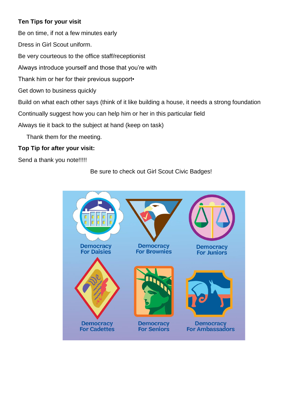## **Ten Tips for your visit**

Be on time, if not a few minutes early

Dress in Girl Scout uniform.

Be very courteous to the office staff/receptionist

Always introduce yourself and those that you're with

Thank him or her for their previous support•

Get down to business quickly

Build on what each other says (think of it like building a house, it needs a strong foundation

Continually suggest how you can help him or her in this particular field

Always tie it back to the subject at hand (keep on task)

Thank them for the meeting.

# **Top Tip for after your visit:**

Send a thank you note!!!!!

# Be sure to check out Girl Scout Civic Badges!

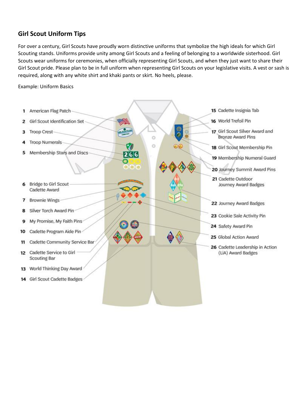# **Girl Scout Uniform Tips**

For over a century, Girl Scouts have proudly worn distinctive uniforms that symbolize the high ideals for which Girl Scouting stands. Uniforms provide unity among Girl Scouts and a feeling of belonging to a worldwide sisterhood. Girl Scouts wear uniforms for ceremonies, when officially representing Girl Scouts, and when they just want to share their Girl Scout pride. Please plan to be in full uniform when representing Girl Scouts on your legislative visits. A vest or sash is required, along with any white shirt and khaki pants or skirt. No heels, please.

Example: Uniform Basics

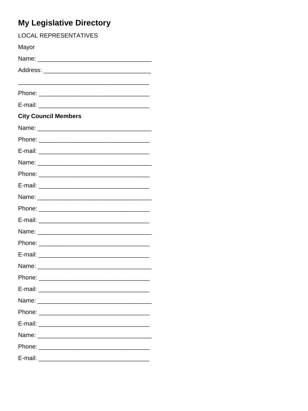# My Legislative Directory

| <b>LOCAL REPRESENTATIVES</b>                                                                                                    |  |  |
|---------------------------------------------------------------------------------------------------------------------------------|--|--|
| Mayor                                                                                                                           |  |  |
|                                                                                                                                 |  |  |
|                                                                                                                                 |  |  |
|                                                                                                                                 |  |  |
|                                                                                                                                 |  |  |
|                                                                                                                                 |  |  |
| <b>City Council Members</b>                                                                                                     |  |  |
|                                                                                                                                 |  |  |
|                                                                                                                                 |  |  |
|                                                                                                                                 |  |  |
|                                                                                                                                 |  |  |
|                                                                                                                                 |  |  |
|                                                                                                                                 |  |  |
|                                                                                                                                 |  |  |
|                                                                                                                                 |  |  |
|                                                                                                                                 |  |  |
|                                                                                                                                 |  |  |
|                                                                                                                                 |  |  |
|                                                                                                                                 |  |  |
| Name: <u>___________________</u>                                                                                                |  |  |
|                                                                                                                                 |  |  |
|                                                                                                                                 |  |  |
|                                                                                                                                 |  |  |
|                                                                                                                                 |  |  |
| E-mail:<br><u> Andrewski komponent († 18. února 18. února 18. února 18. února 18. února 18. února 18. února 18. února 18. ú</u> |  |  |
|                                                                                                                                 |  |  |
| Phone:                                                                                                                          |  |  |
|                                                                                                                                 |  |  |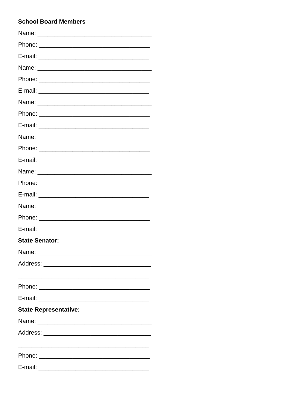## **School Board Members**

| <b>State Senator:</b>                                                                                          |
|----------------------------------------------------------------------------------------------------------------|
| Name: when the contract of the contract of the contract of the contract of the contract of the contract of the |
| Address: ____________________________                                                                          |
|                                                                                                                |
|                                                                                                                |
|                                                                                                                |
| <b>State Representative:</b>                                                                                   |
|                                                                                                                |
|                                                                                                                |
|                                                                                                                |
|                                                                                                                |
| E-mail:                                                                                                        |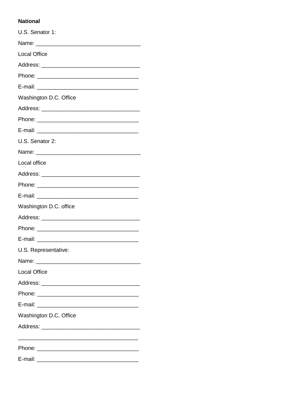#### **National**

| U.S. Senator 1:                                                                                                |
|----------------------------------------------------------------------------------------------------------------|
|                                                                                                                |
| <b>Local Office</b>                                                                                            |
|                                                                                                                |
|                                                                                                                |
|                                                                                                                |
| Washington D.C. Office                                                                                         |
|                                                                                                                |
|                                                                                                                |
|                                                                                                                |
| U.S. Senator 2:                                                                                                |
|                                                                                                                |
| Local office                                                                                                   |
|                                                                                                                |
|                                                                                                                |
| E-mail: 2008 2009 2009 2009 2009 2010 2021 2022 2033 2040 2041 2052 2053 2054 2055 2056 2057 2058 2059 2059 20 |
| Washington D.C. office                                                                                         |
|                                                                                                                |
|                                                                                                                |
|                                                                                                                |
| U.S. Representative:                                                                                           |
| Name: _________________________                                                                                |
| <b>Local Office</b>                                                                                            |
| Address: __________________________                                                                            |
|                                                                                                                |
|                                                                                                                |
| Washington D.C. Office                                                                                         |
|                                                                                                                |
|                                                                                                                |
|                                                                                                                |
|                                                                                                                |